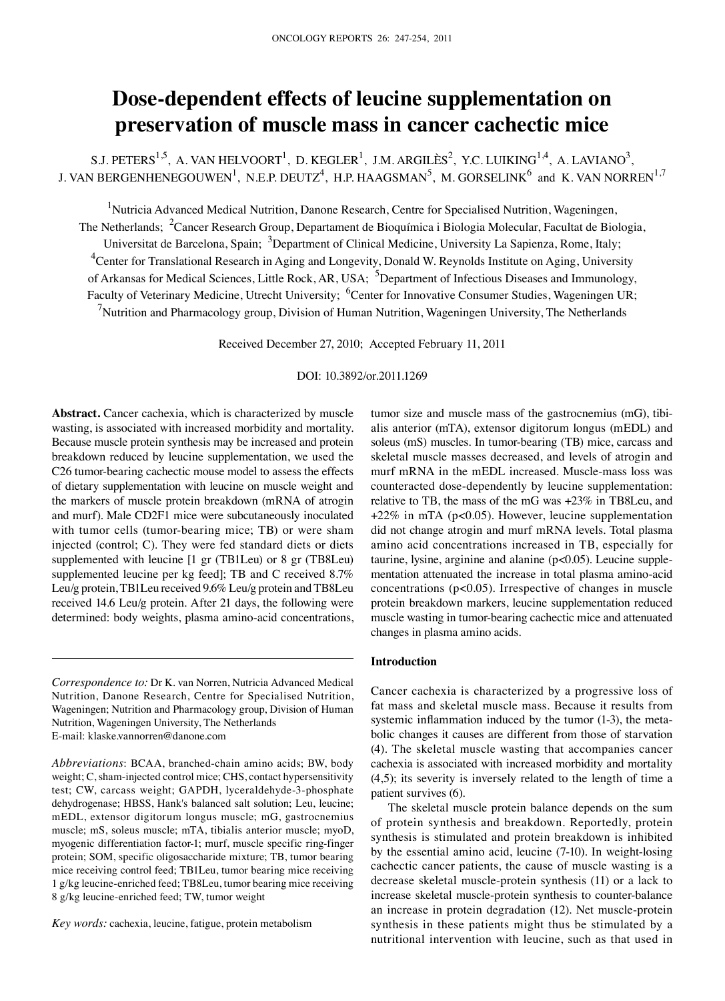# **Dose-dependent effects of leucine supplementation on preservation of muscle mass in cancer cachectic mice**

S.J. PETERS<sup>1,5</sup>, A. VAN HELVOORT<sup>1</sup>, D. KEGLER<sup>1</sup>, J.M. ARGILÈS<sup>2</sup>, Y.C. LUIKING<sup>1,4</sup>, A. LAVIANO<sup>3</sup>, J. VAN BERGENHENEGOUWEN<sup>1</sup>, N.E.P. DEUTZ<sup>4</sup>, H.P. HAAGSMAN<sup>5</sup>, M. GORSELINK<sup>6</sup> and K. VAN NORREN<sup>1,7</sup>

<sup>1</sup>Nutricia Advanced Medical Nutrition, Danone Research, Centre for Specialised Nutrition, Wageningen, The Netherlands; <sup>2</sup>Cancer Research Group, Departament de Bioquímica i Biologia Molecular, Facultat de Biologia, Universitat de Barcelona, Spain; <sup>3</sup>Department of Clinical Medicine, University La Sapienza, Rome, Italy; <sup>4</sup>Center for Translational Research in Aging and Longevity, Donald W. Reynolds Institute on Aging, University of Arkansas for Medical Sciences, Little Rock, AR, USA; <sup>5</sup>Department of Infectious Diseases and Immunology, Faculty of Veterinary Medicine, Utrecht University; <sup>6</sup>Center for Innovative Consumer Studies, Wageningen UR;  $^7$ Nutrition and Pharmacology group, Division of Human Nutrition, Wageningen University, The Netherlands

Received December 27, 2010; Accepted February 11, 2011

DOI: 10.3892/or.2011.1269

Abstract. Cancer cachexia, which is characterized by muscle wasting, is associated with increased morbidity and mortality. Because muscle protein synthesis may be increased and protein breakdown reduced by leucine supplementation, we used the C26 tumor-bearing cachectic mouse model to assess the effects of dietary supplementation with leucine on muscle weight and the markers of muscle protein breakdown (mRNA of atrogin and murf). Male CD2F1 mice were subcutaneously inoculated with tumor cells (tumor-bearing mice; TB) or were sham injected (control; C). They were fed standard diets or diets supplemented with leucine [1 gr (TB1Leu) or 8 gr (TB8Leu) supplemented leucine per kg feed]; TB and C received 8.7% Leu/g protein, TB1Leu received 9.6% Leu/g protein and TB8Leu received 14.6 Leu/g protein. After 21 days, the following were determined: body weights, plasma amino-acid concentrations,

*Correspondence to:* Dr K. van Norren, Nutricia Advanced Medical Nutrition, Danone Research, Centre for Specialised Nutrition, Wageningen; Nutrition and Pharmacology group, Division of Human Nutrition, Wageningen University, The Netherlands E-mail: klaske.vannorren@danone.com

*Abbreviations*: BCAA, branched-chain amino acids; BW, body weight; C, sham-injected control mice; CHS, contact hypersensitivity test; CW, carcass weight; GAPDH, lyceraldehyde-3-phosphate dehydrogenase; HBSS, Hank's balanced salt solution; Leu, leucine; mEDL, extensor digitorum longus muscle; mG, gastrocnemius muscle; mS, soleus muscle; mTA, tibialis anterior muscle; myoD, myogenic differentiation factor-1; murf, muscle specific ring-finger protein; SOM, specific oligosaccharide mixture; TB, tumor bearing mice receiving control feed; TB1Leu, tumor bearing mice receiving 1 g/kg leucine-enriched feed; TB8Leu, tumor bearing mice receiving 8 g/kg leucine-enriched feed; TW, tumor weight

*Key words:* cachexia, leucine, fatigue, protein metabolism

tumor size and muscle mass of the gastrocnemius (mG), tibialis anterior (mTA), extensor digitorum longus (mEDL) and soleus (mS) muscles. In tumor-bearing (TB) mice, carcass and skeletal muscle masses decreased, and levels of atrogin and murf mRNA in the mEDL increased. Muscle-mass loss was counteracted dose-dependently by leucine supplementation: relative to TB, the mass of the mG was +23% in TB8Leu, and +22% in mTA (p<0.05). However, leucine supplementation did not change atrogin and murf mRNA levels. Total plasma amino acid concentrations increased in TB, especially for taurine, lysine, arginine and alanine (p<0.05). Leucine supplementation attenuated the increase in total plasma amino-acid concentrations ( $p<0.05$ ). Irrespective of changes in muscle protein breakdown markers, leucine supplementation reduced muscle wasting in tumor-bearing cachectic mice and attenuated changes in plasma amino acids.

## **Introduction**

Cancer cachexia is characterized by a progressive loss of fat mass and skeletal muscle mass. Because it results from systemic inflammation induced by the tumor (1-3), the metabolic changes it causes are different from those of starvation (4). The skeletal muscle wasting that accompanies cancer cachexia is associated with increased morbidity and mortality (4,5); its severity is inversely related to the length of time a patient survives (6).

The skeletal muscle protein balance depends on the sum of protein synthesis and breakdown. Reportedly, protein synthesis is stimulated and protein breakdown is inhibited by the essential amino acid, leucine (7-10). In weight-losing cachectic cancer patients, the cause of muscle wasting is a decrease skeletal muscle-protein synthesis (11) or a lack to increase skeletal muscle-protein synthesis to counter-balance an increase in protein degradation (12). Net muscle-protein synthesis in these patients might thus be stimulated by a nutritional intervention with leucine, such as that used in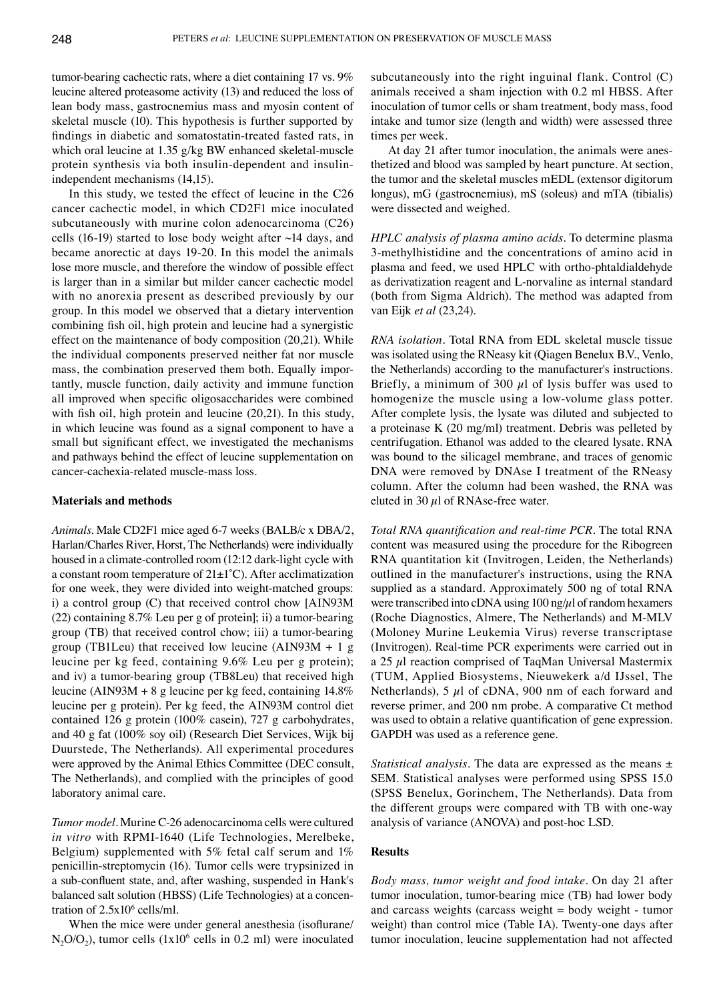tumor-bearing cachectic rats, where a diet containing 17 vs. 9% leucine altered proteasome activity (13) and reduced the loss of lean body mass, gastrocnemius mass and myosin content of skeletal muscle (10). This hypothesis is further supported by findings in diabetic and somatostatin-treated fasted rats, in which oral leucine at 1.35 g/kg BW enhanced skeletal-muscle protein synthesis via both insulin-dependent and insulinindependent mechanisms (14,15).

In this study, we tested the effect of leucine in the C26 cancer cachectic model, in which CD2F1 mice inoculated subcutaneously with murine colon adenocarcinoma (C26) cells (16-19) started to lose body weight after ~14 days, and became anorectic at days 19-20. In this model the animals lose more muscle, and therefore the window of possible effect is larger than in a similar but milder cancer cachectic model with no anorexia present as described previously by our group. In this model we observed that a dietary intervention combining fish oil, high protein and leucine had a synergistic effect on the maintenance of body composition (20,21). While the individual components preserved neither fat nor muscle mass, the combination preserved them both. Equally importantly, muscle function, daily activity and immune function all improved when specific oligosaccharides were combined with fish oil, high protein and leucine (20,21). In this study, in which leucine was found as a signal component to have a small but significant effect, we investigated the mechanisms and pathways behind the effect of leucine supplementation on cancer-cachexia-related muscle-mass loss.

## **Materials and methods**

*Animals*. Male CD2F1 mice aged 6-7 weeks (BALB/c x DBA/2, Harlan/Charles River, Horst, The Netherlands) were individually housed in a climate-controlled room (12:12 dark-light cycle with a constant room temperature of  $21\pm1^{\circ}$ C). After acclimatization for one week, they were divided into weight-matched groups: i) a control group (C) that received control chow [AIN93M (22) containing 8.7% Leu per g of protein]; ii) a tumor-bearing group (TB) that received control chow; iii) a tumor-bearing group (TB1Leu) that received low leucine (AIN93M + 1 g leucine per kg feed, containing 9.6% Leu per g protein); and iv) a tumor-bearing group (TB8Leu) that received high leucine (AIN93M + 8 g leucine per kg feed, containing 14.8% leucine per g protein). Per kg feed, the AIN93M control diet contained 126 g protein (100% casein), 727 g carbohydrates, and 40 g fat (100% soy oil) (Research Diet Services, Wijk bij Duurstede, The Netherlands). All experimental procedures were approved by the Animal Ethics Committee (DEC consult, The Netherlands), and complied with the principles of good laboratory animal care.

*Tumor model.* Murine C-26 adenocarcinoma cells were cultured *in vitro* with RPMI-1640 (Life Technologies, Merelbeke, Belgium) supplemented with 5% fetal calf serum and 1% penicillin-streptomycin (16). Tumor cells were trypsinized in a sub-confluent state, and, after washing, suspended in Hank's balanced salt solution (HBSS) (Life Technologies) at a concentration of  $2.5x10^6$  cells/ml.

When the mice were under general anesthesia (isoflurane/  $N_2O/O_2$ ), tumor cells (1x10<sup>6</sup> cells in 0.2 ml) were inoculated subcutaneously into the right inguinal flank. Control (C) animals received a sham injection with 0.2 ml HBSS. After inoculation of tumor cells or sham treatment, body mass, food intake and tumor size (length and width) were assessed three times per week.

At day 21 after tumor inoculation, the animals were anesthetized and blood was sampled by heart puncture. At section, the tumor and the skeletal muscles mEDL (extensor digitorum longus), mG (gastrocnemius), mS (soleus) and mTA (tibialis) were dissected and weighed.

*HPLC analysis of plasma amino acids.* To determine plasma 3-methylhistidine and the concentrations of amino acid in plasma and feed, we used HPLC with ortho-phtaldialdehyde as derivatization reagent and L-norvaline as internal standard (both from Sigma Aldrich). The method was adapted from van Eijk *et al* (23,24).

*RNA isolation.* Total RNA from EDL skeletal muscle tissue was isolated using the RNeasy kit (Qiagen Benelux B.V., Venlo, the Netherlands) according to the manufacturer's instructions. Briefly, a minimum of 300  $\mu$ l of lysis buffer was used to homogenize the muscle using a low-volume glass potter. After complete lysis, the lysate was diluted and subjected to a proteinase K (20 mg/ml) treatment. Debris was pelleted by centrifugation. Ethanol was added to the cleared lysate. RNA was bound to the silicagel membrane, and traces of genomic DNA were removed by DNAse I treatment of the RNeasy column. After the column had been washed, the RNA was eluted in 30  $\mu$ l of RNAse-free water.

*Total RNA quantification and real-time PCR.* The total RNA content was measured using the procedure for the Ribogreen RNA quantitation kit (Invitrogen, Leiden, the Netherlands) outlined in the manufacturer's instructions, using the RNA supplied as a standard. Approximately 500 ng of total RNA were transcribed into cDNA using  $100$  ng/ $\mu$ l of random hexamers (Roche Diagnostics, Almere, The Netherlands) and M-MLV (Moloney Murine Leukemia Virus) reverse transcriptase (Invitrogen). Real-time PCR experiments were carried out in a 25  $\mu$ l reaction comprised of TaqMan Universal Mastermix (TUM, Applied Biosystems, Nieuwekerk a/d IJssel, The Netherlands), 5  $\mu$ l of cDNA, 900 nm of each forward and reverse primer, and 200 nm probe. A comparative Ct method was used to obtain a relative quantification of gene expression. GAPDH was used as a reference gene.

*Statistical analysis.* The data are expressed as the means ± SEM. Statistical analyses were performed using SPSS 15.0 (SPSS Benelux, Gorinchem, The Netherlands). Data from the different groups were compared with TB with one-way analysis of variance (ANOVA) and post-hoc LSD.

## **Results**

*Body mass, tumor weight and food intake.* On day 21 after tumor inoculation, tumor-bearing mice (TB) had lower body and carcass weights (carcass weight = body weight - tumor weight) than control mice (Table IA). Twenty-one days after tumor inoculation, leucine supplementation had not affected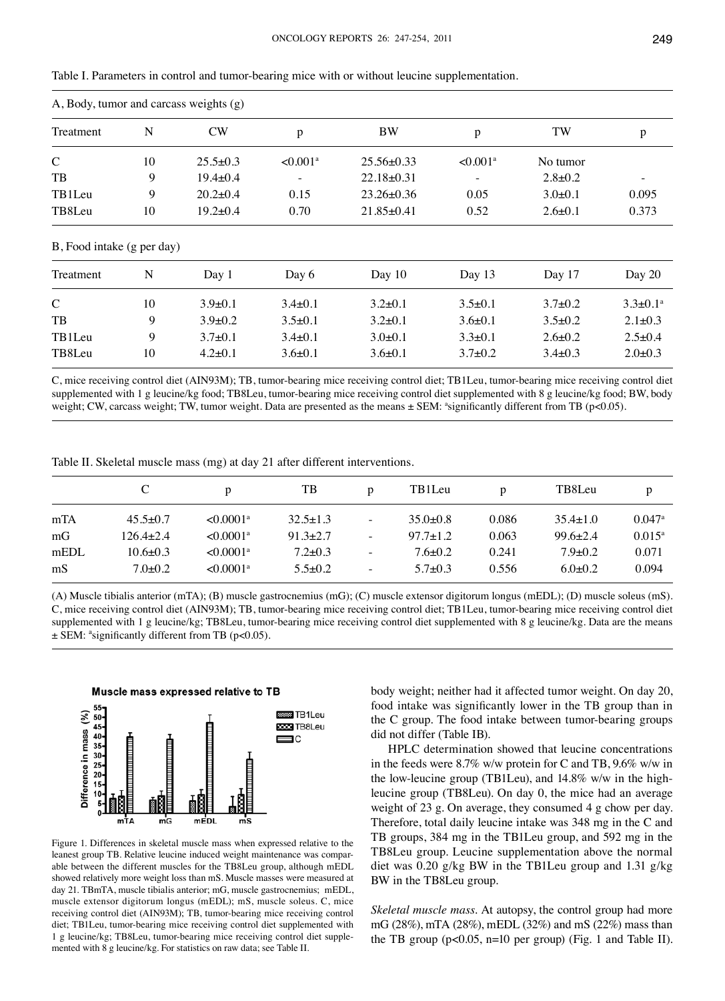| $A$ , Body, tumor and carcass weights $(g)$ |    |                |                        |                  |                        |               |                          |
|---------------------------------------------|----|----------------|------------------------|------------------|------------------------|---------------|--------------------------|
| Treatment                                   | N  | CW             | p                      | <b>BW</b>        | p                      | TW            | p                        |
| $\mathcal{C}$                               | 10 | $25.5 \pm 0.3$ | $< 0.001$ <sup>a</sup> | $25.56 \pm 0.33$ | $< 0.001$ <sup>a</sup> | No tumor      |                          |
| TB                                          | 9  | $19.4 \pm 0.4$ |                        | $22.18 \pm 0.31$ |                        | $2.8 \pm 0.2$ |                          |
| TB1Leu                                      | 9  | $20.2 \pm 0.4$ | 0.15                   | $23.26 \pm 0.36$ | 0.05                   | $3.0+0.1$     | 0.095                    |
| TB8Leu                                      | 10 | $19.2 \pm 0.4$ | 0.70                   | $21.85 \pm 0.41$ | 0.52                   | $2.6 \pm 0.1$ | 0.373                    |
| B, Food intake (g per day)                  |    |                |                        |                  |                        |               |                          |
| Treatment                                   | N  | Day 1          | Day 6                  | Day 10           | Day 13                 | Day 17        | Day 20                   |
| $\mathcal{C}$                               | 10 | $3.9 \pm 0.1$  | $3.4 \pm 0.1$          | $3.2 \pm 0.1$    | $3.5 \pm 0.1$          | $3.7 \pm 0.2$ | $3.3 \pm 0.1^{\text{a}}$ |
| TB                                          | 9  | $3.9 \pm 0.2$  | $3.5 \pm 0.1$          | $3.2 \pm 0.1$    | $3.6 \pm 0.1$          | $3.5 \pm 0.2$ | $2.1 \pm 0.3$            |
| TB1Leu                                      | 9  | $3.7 \pm 0.1$  | $3.4\pm0.1$            | $3.0 \pm 0.1$    | $3.3 \pm 0.1$          | $2.6 \pm 0.2$ | $2.5 \pm 0.4$            |
| TB8Leu                                      | 10 | $4.2 \pm 0.1$  | $3.6 \pm 0.1$          | $3.6 \pm 0.1$    | $3.7 \pm 0.2$          | $3.4 \pm 0.3$ | $2.0 \pm 0.3$            |

Table I. Parameters in control and tumor-bearing mice with or without leucine supplementation.

C, mice receiving control diet (AIN93M); TB, tumor-bearing mice receiving control diet; TB1Leu, tumor-bearing mice receiving control diet supplemented with 1 g leucine/kg food; TB8Leu, tumor-bearing mice receiving control diet supplemented with 8 g leucine/kg food; BW, body weight; CW, carcass weight; TW, tumor weight. Data are presented as the means  $\pm$  SEM: <sup>a</sup>significantly different from TB (p<0.05).

Table II. Skeletal muscle mass (mg) at day 21 after different interventions.

|      |                 | D                       | TВ             | D                        | TB1Leu         | D     | TB8Leu         | D                    |
|------|-----------------|-------------------------|----------------|--------------------------|----------------|-------|----------------|----------------------|
| mTA  | $45.5 \pm 0.7$  | $< 0.0001$ <sup>a</sup> | $32.5 \pm 1.3$ | $\overline{\phantom{0}}$ | $35.0 \pm 0.8$ | 0.086 | $35.4 \pm 1.0$ | $0.047$ <sup>a</sup> |
| mG   | $126.4 \pm 2.4$ | $< 0.0001$ <sup>a</sup> | $91.3 \pm 2.7$ | $\qquad \qquad -$        | $97.7 \pm 1.2$ | 0.063 | $99.6 \pm 2.4$ | $0.015^{\rm a}$      |
| mEDL | $10.6 \pm 0.3$  | $< 0.0001$ <sup>a</sup> | $7.2 \pm 0.3$  | $\overline{\phantom{a}}$ | $7.6 \pm 0.2$  | 0.241 | $7.9 \pm 0.2$  | 0.071                |
| mS   | $7.0 \pm 0.2$   | $< 0.0001$ <sup>a</sup> | $5.5 \pm 0.2$  | $\qquad \qquad -$        | $5.7 \pm 0.3$  | 0.556 | $6.0+0.2$      | 0.094                |
|      |                 |                         |                |                          |                |       |                |                      |

(A) Muscle tibialis anterior (mTA); (B) muscle gastrocnemius (mG); (C) muscle extensor digitorum longus (mEDL); (D) muscle soleus (mS). C, mice receiving control diet (AIN93M); TB, tumor-bearing mice receiving control diet; TB1Leu, tumor-bearing mice receiving control diet supplemented with 1 g leucine/kg; TB8Leu, tumor-bearing mice receiving control diet supplemented with 8 g leucine/kg. Data are the means  $\pm$  SEM: <sup>a</sup>significantly different from TB (p<0.05).



Figure 1. Differences in skeletal muscle mass when expressed relative to the leanest group TB. Relative leucine induced weight maintenance was comparable between the different muscles for the TB8Leu group, although mEDL showed relatively more weight loss than mS. Muscle masses were measured at day 21. TBmTA, muscle tibialis anterior; mG, muscle gastrocnemius; mEDL, muscle extensor digitorum longus (mEDL); mS, muscle soleus. C, mice receiving control diet (AIN93M); TB, tumor-bearing mice receiving control diet; TB1Leu, tumor-bearing mice receiving control diet supplemented with 1 g leucine/kg; TB8Leu, tumor-bearing mice receiving control diet supplemented with 8 g leucine/kg. For statistics on raw data; see Table II.

body weight; neither had it affected tumor weight. On day 20, food intake was significantly lower in the TB group than in the C group. The food intake between tumor-bearing groups did not differ (Table IB).

HPLC determination showed that leucine concentrations in the feeds were 8.7% w/w protein for C and TB, 9.6% w/w in the low-leucine group (TB1Leu), and 14.8% w/w in the highleucine group (TB8Leu). On day 0, the mice had an average weight of 23 g. On average, they consumed 4 g chow per day. Therefore, total daily leucine intake was 348 mg in the C and TB groups, 384 mg in the TB1Leu group, and 592 mg in the TB8Leu group. Leucine supplementation above the normal diet was 0.20 g/kg BW in the TB1Leu group and 1.31 g/kg BW in the TB8Leu group.

*Skeletal muscle mass*. At autopsy, the control group had more mG (28%), mTA (28%), mEDL (32%) and mS (22%) mass than the TB group (p<0.05, n=10 per group) (Fig. 1 and Table II).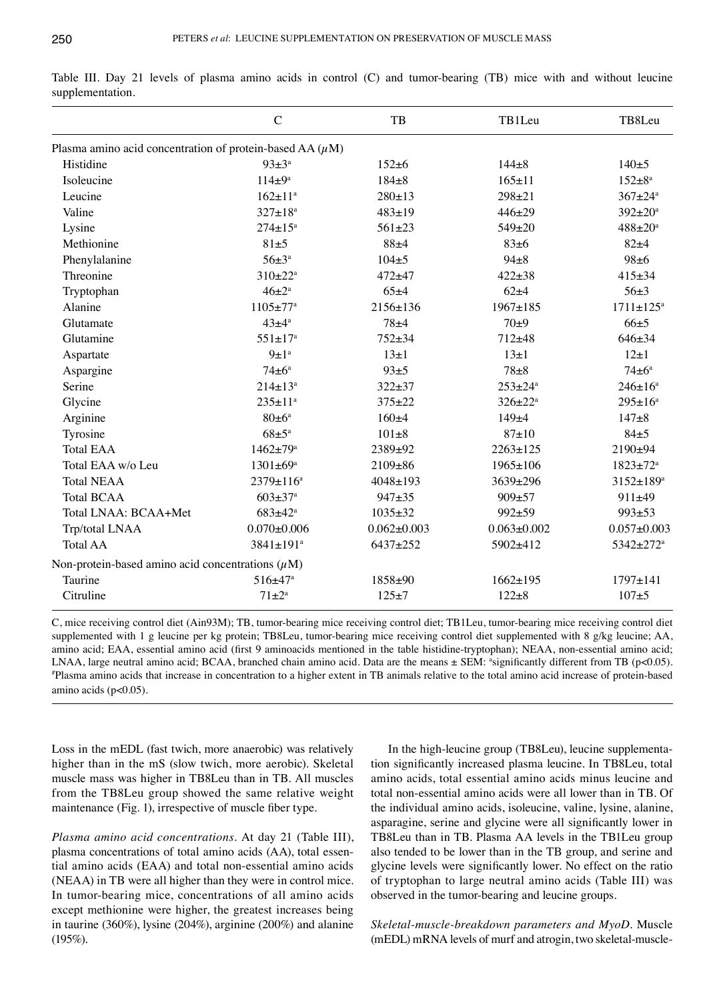|                                                               | $\mathcal{C}$              | TB                | TB1Leu                    | TB8Leu                      |
|---------------------------------------------------------------|----------------------------|-------------------|---------------------------|-----------------------------|
| Plasma amino acid concentration of protein-based AA $(\mu M)$ |                            |                   |                           |                             |
| Histidine                                                     | $93 \pm 3^a$               | $152 + 6$         | $144 + 8$                 | $140+5$                     |
| Isoleucine                                                    | $114\pm9^a$                | $184 + 8$         | $165 \pm 11$              | $152 \pm 8^{\rm a}$         |
| Leucine                                                       | $162 \pm 11^a$             | 280±13            | $298 + 21$                | $367 \pm 24^a$              |
| Valine                                                        | $327 \pm 18^a$             | $483 \pm 19$      | $446 + 29$                | $392 \pm 20^{\text{a}}$     |
| Lysine                                                        | $274 \pm 15^a$             | $561 \pm 23$      | $549 \pm 20$              | $488 \pm 20^a$              |
| Methionine                                                    | $81\pm5$                   | $88 + 4$          | 83±6                      | $82 + 4$                    |
| Phenylalanine                                                 | $56\pm3^{\mathrm{a}}$      | $104 \pm 5$       | $94 \pm 8$                | $98 + 6$                    |
| Threonine                                                     | $310 \pm 22^{\text{a}}$    | 472±47            | $422 \pm 38$              | $415 \pm 34$                |
| Tryptophan                                                    | $46\pm2^{\mathrm{a}}$      | $65 + 4$          | $62+4$                    | $56 \pm 3$                  |
| Alanine                                                       | $1105 \pm 77$ <sup>a</sup> | 2156±136          | $1967 \pm 185$            | $1711 \pm 125$ <sup>a</sup> |
| Glutamate                                                     | $43\pm4^a$                 | $78 + 4$          | 70±9                      | $66 + 5$                    |
| Glutamine                                                     | $551 \pm 17^a$             | $752 \pm 34$      | $712+48$                  | $646 \pm 34$                |
| Aspartate                                                     | $9\pm1^a$                  | $13\pm1$          | $13\pm1$                  | $12\pm1$                    |
| Aspargine                                                     | $74\pm6^{\mathrm{a}}$      | $93+5$            | $78\pm8$                  | $74\pm6^{\mathrm{a}}$       |
| Serine                                                        | $214 \pm 13^{a}$           | $322 \pm 37$      | $253 \pm 24^{\mathrm{a}}$ | $246 \pm 16^a$              |
| Glycine                                                       | $235 \pm 11^{a}$           | $375 \pm 22$      | $326 \pm 22^{\text{a}}$   | $295 \pm 16^a$              |
| Arginine                                                      | $80\pm6^{\circ}$           | $160 + 4$         | $149 + 4$                 | $147 + 8$                   |
| Tyrosine                                                      | $68{\pm}5^{\mathrm{a}}$    | $101 + 8$         | $87 \pm 10$               | $84+5$                      |
| <b>Total EAA</b>                                              | $1462 \pm 79^{\rm a}$      | 2389±92           | $2263 \pm 125$            | 2190±94                     |
| Total EAA w/o Leu                                             | $1301 \pm 69^{\rm a}$      | $2109 \pm 86$     | $1965 \pm 106$            | $1823 \pm 72^{\mathrm{a}}$  |
| <b>Total NEAA</b>                                             | 2379±116 <sup>a</sup>      | $4048 \pm 193$    | 3639±296                  | 3152±189 <sup>a</sup>       |
| <b>Total BCAA</b>                                             | $603 \pm 37$ <sup>a</sup>  | $947 + 35$        | $909 \pm 57$              | 911±49                      |
| Total LNAA: BCAA+Met                                          | $683 \pm 42^{\mathrm{a}}$  | $1035 \pm 32$     | 992±59                    | $993+53$                    |
| Trp/total LNAA                                                | $0.070 \pm 0.006$          | $0.062 \pm 0.003$ | $0.063 \pm 0.002$         | $0.057 + 0.003$             |
| <b>Total AA</b>                                               | 3841±191 <sup>a</sup>      | $6437+252$        | 5902±412                  | 5342±272 <sup>a</sup>       |
| Non-protein-based amino acid concentrations $(\mu M)$         |                            |                   |                           |                             |
| Taurine                                                       | $516\pm47$ <sup>a</sup>    | 1858±90           | $1662 \pm 195$            | $1797 \pm 141$              |
| Citruline                                                     | $71 \pm 2^a$               | $125 + 7$         | $122 + 8$                 | $107 + 5$                   |

Table III. Day 21 levels of plasma amino acids in control (C) and tumor-bearing (TB) mice with and without leucine supplementation.

C, mice receiving control diet (Ain93M); TB, tumor-bearing mice receiving control diet; TB1Leu, tumor-bearing mice receiving control diet supplemented with 1 g leucine per kg protein; TB8Leu, tumor-bearing mice receiving control diet supplemented with 8 g/kg leucine; AA, amino acid; EAA, essential amino acid (first 9 aminoacids mentioned in the table histidine-tryptophan); NEAA, non-essential amino acid; LNAA, large neutral amino acid; BCAA, branched chain amino acid. Data are the means  $\pm$  SEM: <sup>a</sup>significantly different from TB (p<0.05). # Plasma amino acids that increase in concentration to a higher extent in TB animals relative to the total amino acid increase of protein-based amino acids (p<0.05).

Loss in the mEDL (fast twich, more anaerobic) was relatively higher than in the mS (slow twich, more aerobic). Skeletal muscle mass was higher in TB8Leu than in TB. All muscles from the TB8Leu group showed the same relative weight maintenance (Fig. 1), irrespective of muscle fiber type.

*Plasma amino acid concentrations.* At day 21 (Table III), plasma concentrations of total amino acids (AA), total essential amino acids (EAA) and total non-essential amino acids (NEAA) in TB were all higher than they were in control mice. In tumor-bearing mice, concentrations of all amino acids except methionine were higher, the greatest increases being in taurine (360%), lysine (204%), arginine (200%) and alanine (195%).

In the high-leucine group (TB8Leu), leucine supplementation significantly increased plasma leucine. In TB8Leu, total amino acids, total essential amino acids minus leucine and total non-essential amino acids were all lower than in TB. Of the individual amino acids, isoleucine, valine, lysine, alanine, asparagine, serine and glycine were all significantly lower in TB8Leu than in TB. Plasma AA levels in the TB1Leu group also tended to be lower than in the TB group, and serine and glycine levels were significantly lower. No effect on the ratio of tryptophan to large neutral amino acids (Table III) was observed in the tumor-bearing and leucine groups.

*Skeletal-muscle-breakdown parameters and MyoD.* Muscle (mEDL) mRNA levels of murf and atrogin, two skeletal-muscle-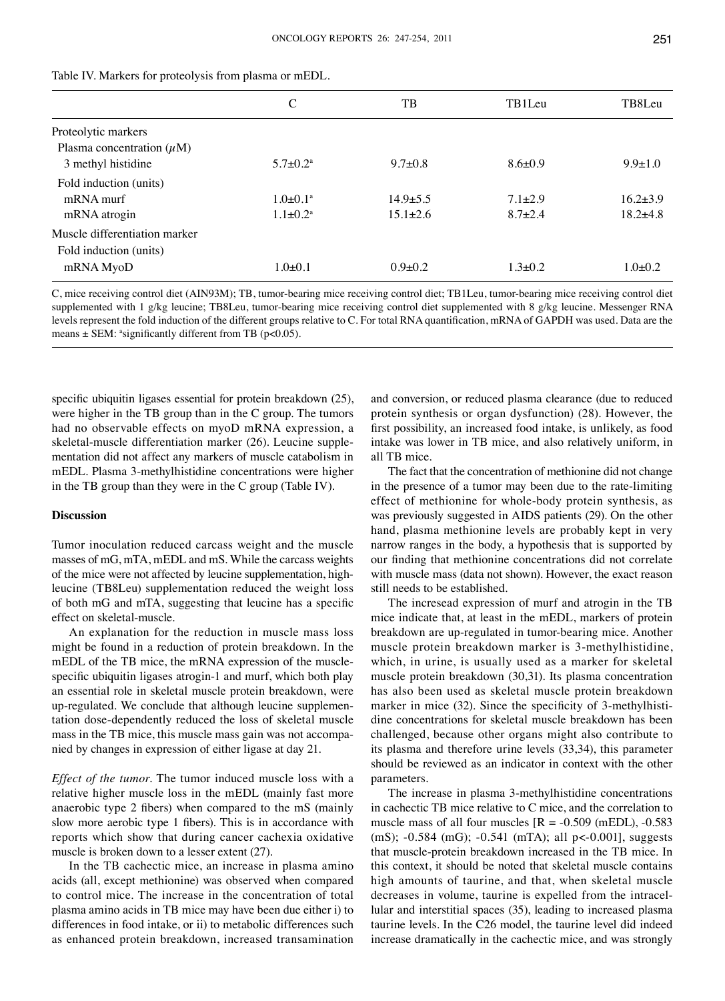|                                | $\mathcal{C}$            | TB             | TB1Leu        | TB8Leu        |
|--------------------------------|--------------------------|----------------|---------------|---------------|
| Proteolytic markers            |                          |                |               |               |
| Plasma concentration $(\mu M)$ |                          |                |               |               |
| 3 methyl histidine             | $5.7 \pm 0.2^{\text{a}}$ | $9.7 \pm 0.8$  | $8.6 \pm 0.9$ | $9.9 \pm 1.0$ |
| Fold induction (units)         |                          |                |               |               |
| mRNA murf                      | $1.0+0.1^a$              | $14.9 \pm 5.5$ | $7.1 + 2.9$   | $16.2 + 3.9$  |
| mRNA atrogin                   | $1.1 \pm 0.2^a$          | $15.1 \pm 2.6$ | $8.7 + 2.4$   | $18.2 + 4.8$  |
| Muscle differentiation marker  |                          |                |               |               |
| Fold induction (units)         |                          |                |               |               |
| mRNA MyoD                      | $1.0+0.1$                | $0.9+0.2$      | $1.3 \pm 0.2$ | $1.0+0.2$     |

| Table IV. Markers for proteolysis from plasma or mEDL. |  |
|--------------------------------------------------------|--|
|--------------------------------------------------------|--|

C, mice receiving control diet (AIN93M); TB, tumor-bearing mice receiving control diet; TB1Leu, tumor-bearing mice receiving control diet supplemented with 1 g/kg leucine; TB8Leu, tumor-bearing mice receiving control diet supplemented with 8 g/kg leucine. Messenger RNA levels represent the fold induction of the different groups relative to C. For total RNA quantification, mRNA of GAPDH was used. Data are the means  $\pm$  SEM: <sup>a</sup>significantly different from TB (p<0.05).

specific ubiquitin ligases essential for protein breakdown (25), were higher in the TB group than in the C group. The tumors had no observable effects on myoD mRNA expression, a skeletal-muscle differentiation marker (26). Leucine supplementation did not affect any markers of muscle catabolism in mEDL. Plasma 3-methylhistidine concentrations were higher in the TB group than they were in the C group (Table IV).

#### **Discussion**

Tumor inoculation reduced carcass weight and the muscle masses of mG, mTA, mEDL and mS. While the carcass weights of the mice were not affected by leucine supplementation, highleucine (TB8Leu) supplementation reduced the weight loss of both mG and mTA, suggesting that leucine has a specific effect on skeletal-muscle.

An explanation for the reduction in muscle mass loss might be found in a reduction of protein breakdown. In the mEDL of the TB mice, the mRNA expression of the musclespecific ubiquitin ligases atrogin-1 and murf, which both play an essential role in skeletal muscle protein breakdown, were up-regulated. We conclude that although leucine supplementation dose-dependently reduced the loss of skeletal muscle mass in the TB mice, this muscle mass gain was not accompanied by changes in expression of either ligase at day 21.

*Effect of the tumor.* The tumor induced muscle loss with a relative higher muscle loss in the mEDL (mainly fast more anaerobic type 2 fibers) when compared to the mS (mainly slow more aerobic type 1 fibers). This is in accordance with reports which show that during cancer cachexia oxidative muscle is broken down to a lesser extent (27).

In the TB cachectic mice, an increase in plasma amino acids (all, except methionine) was observed when compared to control mice. The increase in the concentration of total plasma amino acids in TB mice may have been due either i) to differences in food intake, or ii) to metabolic differences such as enhanced protein breakdown, increased transamination and conversion, or reduced plasma clearance (due to reduced protein synthesis or organ dysfunction) (28). However, the first possibility, an increased food intake, is unlikely, as food intake was lower in TB mice, and also relatively uniform, in all TB mice.

The fact that the concentration of methionine did not change in the presence of a tumor may been due to the rate-limiting effect of methionine for whole-body protein synthesis, as was previously suggested in AIDS patients (29). On the other hand, plasma methionine levels are probably kept in very narrow ranges in the body, a hypothesis that is supported by our finding that methionine concentrations did not correlate with muscle mass (data not shown). However, the exact reason still needs to be established.

The incresead expression of murf and atrogin in the TB mice indicate that, at least in the mEDL, markers of protein breakdown are up-regulated in tumor-bearing mice. Another muscle protein breakdown marker is 3-methylhistidine, which, in urine, is usually used as a marker for skeletal muscle protein breakdown (30,31). Its plasma concentration has also been used as skeletal muscle protein breakdown marker in mice (32). Since the specificity of 3-methylhistidine concentrations for skeletal muscle breakdown has been challenged, because other organs might also contribute to its plasma and therefore urine levels (33,34), this parameter should be reviewed as an indicator in context with the other parameters.

The increase in plasma 3-methylhistidine concentrations in cachectic TB mice relative to C mice, and the correlation to muscle mass of all four muscles  $[R = -0.509$  (mEDL),  $-0.583$ (mS); -0.584 (mG); -0.541 (mTA); all p<-0.001], suggests that muscle-protein breakdown increased in the TB mice. In this context, it should be noted that skeletal muscle contains high amounts of taurine, and that, when skeletal muscle decreases in volume, taurine is expelled from the intracellular and interstitial spaces (35), leading to increased plasma taurine levels. In the C26 model, the taurine level did indeed increase dramatically in the cachectic mice, and was strongly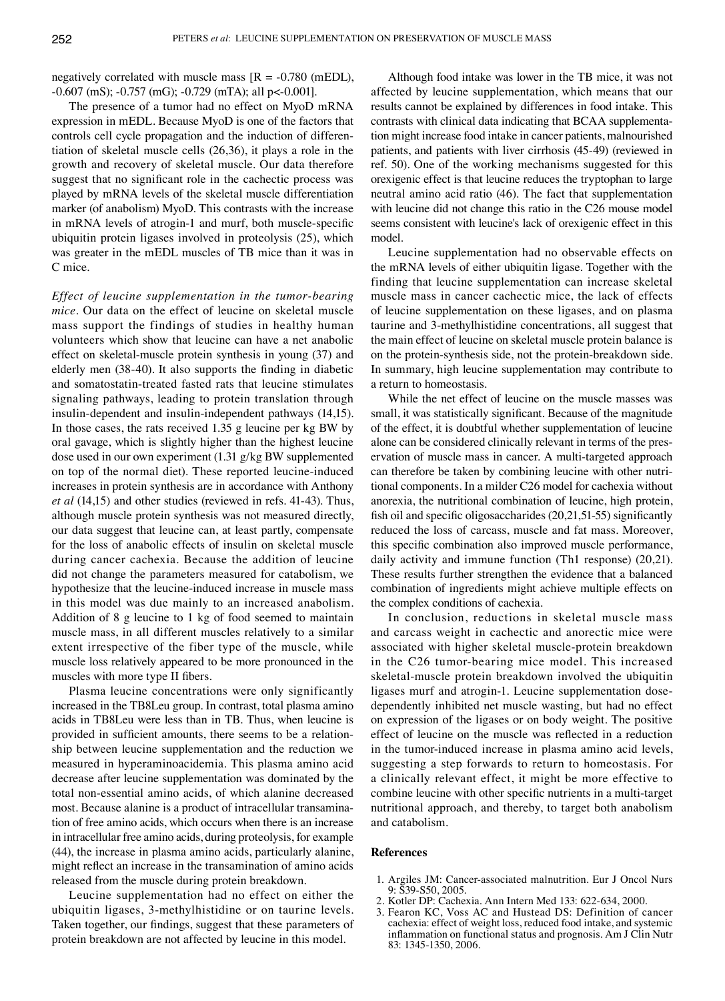negatively correlated with muscle mass  $[R = -0.780 \text{ (mEDL)}$ , -0.607 (mS); -0.757 (mG); -0.729 (mTA); all p<-0.001].

The presence of a tumor had no effect on MyoD mRNA expression in mEDL. Because MyoD is one of the factors that controls cell cycle propagation and the induction of differentiation of skeletal muscle cells (26,36), it plays a role in the growth and recovery of skeletal muscle. Our data therefore suggest that no significant role in the cachectic process was played by mRNA levels of the skeletal muscle differentiation marker (of anabolism) MyoD. This contrasts with the increase in mRNA levels of atrogin-1 and murf, both muscle-specific ubiquitin protein ligases involved in proteolysis (25), which was greater in the mEDL muscles of TB mice than it was in C mice.

*Effect of leucine supplementation in the tumor-bearing mice.* Our data on the effect of leucine on skeletal muscle mass support the findings of studies in healthy human volunteers which show that leucine can have a net anabolic effect on skeletal-muscle protein synthesis in young (37) and elderly men (38-40). It also supports the finding in diabetic and somatostatin-treated fasted rats that leucine stimulates signaling pathways, leading to protein translation through insulin-dependent and insulin-independent pathways (14,15). In those cases, the rats received 1.35 g leucine per kg BW by oral gavage, which is slightly higher than the highest leucine dose used in our own experiment (1.31 g/kg BW supplemented on top of the normal diet). These reported leucine-induced increases in protein synthesis are in accordance with Anthony *et al* (14,15) and other studies (reviewed in refs. 41-43). Thus, although muscle protein synthesis was not measured directly, our data suggest that leucine can, at least partly, compensate for the loss of anabolic effects of insulin on skeletal muscle during cancer cachexia. Because the addition of leucine did not change the parameters measured for catabolism, we hypothesize that the leucine-induced increase in muscle mass in this model was due mainly to an increased anabolism. Addition of 8 g leucine to 1 kg of food seemed to maintain muscle mass, in all different muscles relatively to a similar extent irrespective of the fiber type of the muscle, while muscle loss relatively appeared to be more pronounced in the muscles with more type II fibers.

Plasma leucine concentrations were only significantly increased in the TB8Leu group. In contrast, total plasma amino acids in TB8Leu were less than in TB. Thus, when leucine is provided in sufficient amounts, there seems to be a relationship between leucine supplementation and the reduction we measured in hyperaminoacidemia. This plasma amino acid decrease after leucine supplementation was dominated by the total non-essential amino acids, of which alanine decreased most. Because alanine is a product of intracellular transamination of free amino acids, which occurs when there is an increase in intracellular free amino acids, during proteolysis, for example (44), the increase in plasma amino acids, particularly alanine, might reflect an increase in the transamination of amino acids released from the muscle during protein breakdown.

Leucine supplementation had no effect on either the ubiquitin ligases, 3-methylhistidine or on taurine levels. Taken together, our findings, suggest that these parameters of protein breakdown are not affected by leucine in this model.

Although food intake was lower in the TB mice, it was not affected by leucine supplementation, which means that our results cannot be explained by differences in food intake. This contrasts with clinical data indicating that BCAA supplementation might increase food intake in cancer patients, malnourished patients, and patients with liver cirrhosis (45-49) (reviewed in ref. 50). One of the working mechanisms suggested for this orexigenic effect is that leucine reduces the tryptophan to large neutral amino acid ratio (46). The fact that supplementation with leucine did not change this ratio in the C26 mouse model seems consistent with leucine's lack of orexigenic effect in this model.

Leucine supplementation had no observable effects on the mRNA levels of either ubiquitin ligase. Together with the finding that leucine supplementation can increase skeletal muscle mass in cancer cachectic mice, the lack of effects of leucine supplementation on these ligases, and on plasma taurine and 3-methylhistidine concentrations, all suggest that the main effect of leucine on skeletal muscle protein balance is on the protein-synthesis side, not the protein-breakdown side. In summary, high leucine supplementation may contribute to a return to homeostasis.

While the net effect of leucine on the muscle masses was small, it was statistically significant. Because of the magnitude of the effect, it is doubtful whether supplementation of leucine alone can be considered clinically relevant in terms of the preservation of muscle mass in cancer. A multi-targeted approach can therefore be taken by combining leucine with other nutritional components. In a milder C26 model for cachexia without anorexia, the nutritional combination of leucine, high protein, fish oil and specific oligosaccharides (20,21,51-55) significantly reduced the loss of carcass, muscle and fat mass. Moreover, this specific combination also improved muscle performance, daily activity and immune function (Th1 response) (20,21). These results further strengthen the evidence that a balanced combination of ingredients might achieve multiple effects on the complex conditions of cachexia.

In conclusion, reductions in skeletal muscle mass and carcass weight in cachectic and anorectic mice were associated with higher skeletal muscle-protein breakdown in the C26 tumor-bearing mice model. This increased skeletal-muscle protein breakdown involved the ubiquitin ligases murf and atrogin-1. Leucine supplementation dosedependently inhibited net muscle wasting, but had no effect on expression of the ligases or on body weight. The positive effect of leucine on the muscle was reflected in a reduction in the tumor-induced increase in plasma amino acid levels, suggesting a step forwards to return to homeostasis. For a clinically relevant effect, it might be more effective to combine leucine with other specific nutrients in a multi-target nutritional approach, and thereby, to target both anabolism and catabolism.

#### **References**

- 1. Argiles JM: Cancer-associated malnutrition. Eur J Oncol Nurs 9: S39-S50, 2005.
- 2. Kotler DP: Cachexia. Ann Intern Med 133: 622-634, 2000.
- 3. Fearon KC, Voss AC and Hustead DS: Definition of cancer cachexia: effect of weight loss, reduced food intake, and systemic inflammation on functional status and prognosis. Am J Clin Nutr 83: 1345-1350, 2006.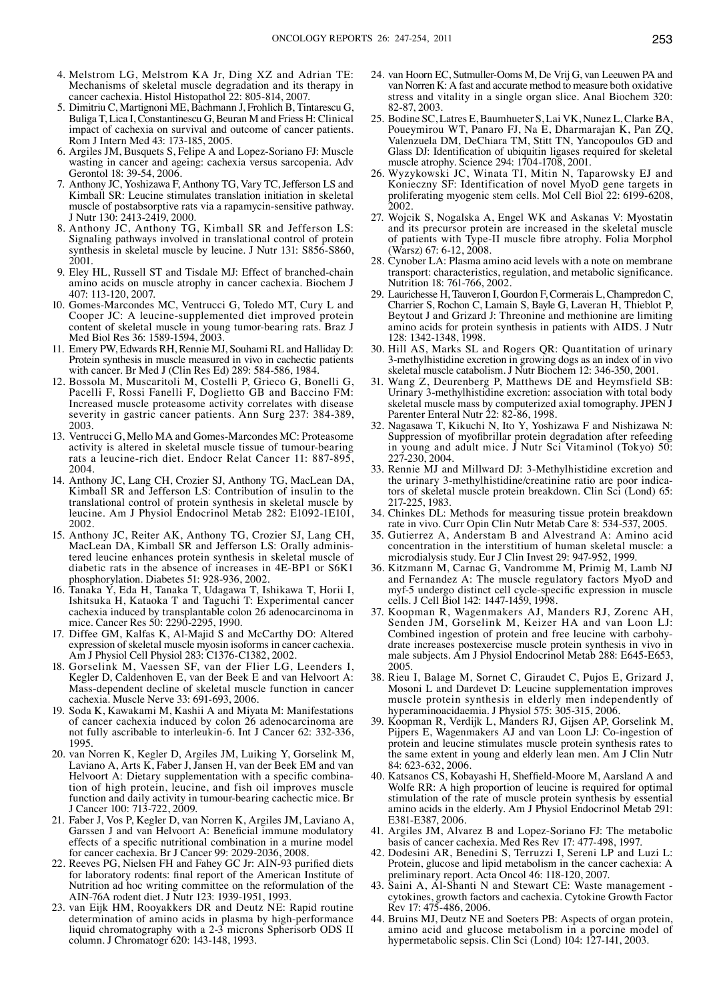- 4. Melstrom LG, Melstrom KA Jr, Ding XZ and Adrian TE: Mechanisms of skeletal muscle degradation and its therapy in cancer cachexia. Histol Histopathol 22: 805-814, 2007.
- 5. Dimitriu C, Martignoni ME, Bachmann J, Frohlich B, Tintarescu G, Buliga T, Lica I, Constantinescu G, Beuran M and Friess H: Clinical impact of cachexia on survival and outcome of cancer patients. Rom J Intern Med 43: 173-185, 2005.
- 6. Argiles JM, Busquets S, Felipe A and Lopez-Soriano FJ: Muscle wasting in cancer and ageing: cachexia versus sarcopenia. Adv Gerontol 18: 39-54, 2006.
- 7. Anthony JC, Yoshizawa F, Anthony TG, Vary TC, Jefferson LS and Kimball SR: Leucine stimulates translation initiation in skeletal muscle of postabsorptive rats via a rapamycin-sensitive pathway. J Nutr 130: 2413-2419, 2000.
- 8. Anthony JC, Anthony TG, Kimball SR and Jefferson LS: Signaling pathways involved in translational control of protein synthesis in skeletal muscle by leucine. J Nutr 131: S856-S860, 2001.
- 9. Eley HL, Russell ST and Tisdale MJ: Effect of branched-chain amino acids on muscle atrophy in cancer cachexia. Biochem J 407: 113-120, 2007.
- 10. Gomes-Marcondes MC, Ventrucci G, Toledo MT, Cury L and Cooper JC: A leucine-supplemented diet improved protein content of skeletal muscle in young tumor-bearing rats. Braz J Med Biol Res 36: 1589-1594, 2003.
- 11. Emery PW, Edwards RH, Rennie MJ, Souhami RL and Halliday D: Protein synthesis in muscle measured in vivo in cachectic patients with cancer. Br Med J (Clin Res Ed) 289: 584-586, 1984.
- 12. Bossola M, Muscaritoli M, Costelli P, Grieco G, Bonelli G, Pacelli F, Rossi Fanelli F, Doglietto GB and Baccino FM: Increased muscle proteasome activity correlates with disease severity in gastric cancer patients. Ann Surg 237: 384-389, 2003.
- 13. Ventrucci G, Mello MA and Gomes-Marcondes MC: Proteasome activity is altered in skeletal muscle tissue of tumour-bearing rats a leucine-rich diet. Endocr Relat Cancer 11: 887-895, 2004.
- 14. Anthony JC, Lang CH, Crozier SJ, Anthony TG, MacLean DA, Kimball SR and Jefferson LS: Contribution of insulin to the translational control of protein synthesis in skeletal muscle by leucine. Am J Physiol Endocrinol Metab 282: E1092-1E101, 2002.
- 15. Anthony JC, Reiter AK, Anthony TG, Crozier SJ, Lang CH, MacLean DA, Kimball SR and Jefferson LS: Orally administered leucine enhances protein synthesis in skeletal muscle of diabetic rats in the absence of increases in 4E-BP1 or S6K1 phosphorylation. Diabetes 51: 928-936, 2002.
- 16. Tanaka Y, Eda H, Tanaka T, Udagawa T, Ishikawa T, Horii I, Ishitsuka H, Kataoka T and Taguchi T: Experimental cancer cachexia induced by transplantable colon 26 adenocarcinoma in mice. Cancer Res 50: 2290-2295, 1990.
- 17. Diffee GM, Kalfas K, Al-Majid S and McCarthy DO: Altered expression of skeletal muscle myosin isoforms in cancer cachexia. Am J Physiol Cell Physiol 283: C1376-C1382, 2002.
- 18. Gorselink M, Vaessen SF, van der Flier LG, Leenders I, Kegler D, Caldenhoven E, van der Beek E and van Helvoort A: Mass-dependent decline of skeletal muscle function in cancer cachexia. Muscle Nerve 33: 691-693, 2006.
- 19. Soda K, Kawakami M, Kashii A and Miyata M: Manifestations of cancer cachexia induced by colon 26 adenocarcinoma are not fully ascribable to interleukin-6. Int J Cancer 62: 332-336, 1995.
- 20. van Norren K, Kegler D, Argiles JM, Luiking Y, Gorselink M, Laviano A, Arts K, Faber J, Jansen H, van der Beek EM and van Helvoort A: Dietary supplementation with a specific combination of high protein, leucine, and fish oil improves muscle function and daily activity in tumour-bearing cachectic mice. Br J Cancer 100: 713-722, 2009.
- 21. Faber J, Vos P, Kegler D, van Norren K, Argiles JM, Laviano A, Garssen J and van Helvoort A: Beneficial immune modulatory effects of a specific nutritional combination in a murine model for cancer cachexia. Br J Cancer 99: 2029-2036, 2008.
- 22. Reeves PG, Nielsen FH and Fahey GC Jr: AIN-93 purified diets for laboratory rodents: final report of the American Institute of Nutrition ad hoc writing committee on the reformulation of the AIN-76A rodent diet. J Nutr 123: 1939-1951, 1993.
- 23. van Eijk HM, Rooyakkers DR and Deutz NE: Rapid routine determination of amino acids in plasma by high-performance liquid chromatography with a 2-3 microns Spherisorb ODS II column. J Chromatogr 620: 143-148, 1993.
- 24. van Hoorn EC, Sutmuller-Ooms M, De Vrij G, van Leeuwen PA and van Norren K: A fast and accurate method to measure both oxidative stress and vitality in a single organ slice. Anal Biochem 320: 82-87, 2003.
- 25. Bodine SC, Latres E, Baumhueter S, Lai VK, Nunez L, Clarke BA, Poueymirou WT, Panaro FJ, Na E, Dharmarajan K, Pan ZQ, Valenzuela DM, DeChiara TM, Stitt TN, Yancopoulos GD and Glass DJ: Identification of ubiquitin ligases required for skeletal muscle atrophy. Science 294: 1704-1708, 2001.
- 26. Wyzykowski JC, Winata TI, Mitin N, Taparowsky EJ and Konieczny SF: Identification of novel MyoD gene targets in proliferating myogenic stem cells. Mol Cell Biol 22: 6199-6208, 2002.
- 27. Wojcik S, Nogalska A, Engel WK and Askanas V: Myostatin and its precursor protein are increased in the skeletal muscle of patients with Type-II muscle fibre atrophy. Folia Morphol (Warsz) 67: 6-12, 2008.
- 28. Cynober LA: Plasma amino acid levels with a note on membrane transport: characteristics, regulation, and metabolic significance. Nutrition 18: 761-766, 2002.
- 29. Laurichesse H, Tauveron I, Gourdon F, Cormerais L, Champredon C, Charrier S, Rochon C, Lamain S, Bayle G, Laveran H, Thieblot P, Beytout J and Grizard J: Threonine and methionine are limiting amino acids for protein synthesis in patients with AIDS. J Nutr 128: 1342-1348, 1998.
- 30. Hill AS, Marks SL and Rogers QR: Quantitation of urinary 3-methylhistidine excretion in growing dogs as an index of in vivo skeletal muscle catabolism. J Nutr Biochem 12: 346-350, 2001.
- 31. Wang Z, Deurenberg P, Matthews DE and Heymsfield SB: Urinary 3-methylhistidine excretion: association with total body skeletal muscle mass by computerized axial tomography. JPEN J Parenter Enteral Nutr 22: 82-86, 1998.
- 32. Nagasawa T, Kikuchi N, Ito Y, Yoshizawa F and Nishizawa N: Suppression of myofibrillar protein degradation after refeeding in young and adult mice. J Nutr Sci Vitaminol (Tokyo) 50: 227-230, 2004.
- 33. Rennie MJ and Millward DJ: 3-Methylhistidine excretion and the urinary 3-methylhistidine/creatinine ratio are poor indicators of skeletal muscle protein breakdown. Clin Sci (Lond) 65: 217-225, 1983.
- 34. Chinkes DL: Methods for measuring tissue protein breakdown rate in vivo. Curr Opin Clin Nutr Metab Care 8: 534-537, 2005.
- 35. Gutierrez A, Anderstam B and Alvestrand A: Amino acid concentration in the interstitium of human skeletal muscle: a microdialysis study. Eur J Clin Invest 29: 947-952, 1999.
- 36. Kitzmann M, Carnac G, Vandromme M, Primig M, Lamb NJ and Fernandez A: The muscle regulatory factors MyoD and myf-5 undergo distinct cell cycle-specific expression in muscle cells. J Cell Biol 142: 1447-1459, 1998.
- 37. Koopman R, Wagenmakers AJ, Manders RJ, Zorenc AH, Senden JM, Gorselink M, Keizer HA and van Loon LJ: Combined ingestion of protein and free leucine with carbohydrate increases postexercise muscle protein synthesis in vivo in male subjects. Am J Physiol Endocrinol Metab 288: E645-E653, 2005.
- 38. Rieu I, Balage M, Sornet C, Giraudet C, Pujos E, Grizard J, Mosoni L and Dardevet D: Leucine supplementation improves muscle protein synthesis in elderly men independently of hyperaminoacidaemia. J Physiol 575: 305-315, 2006.
- 39. Koopman R, Verdijk L, Manders RJ, Gijsen AP, Gorselink M, Pijpers E, Wagenmakers AJ and van Loon LJ: Co-ingestion of protein and leucine stimulates muscle protein synthesis rates to the same extent in young and elderly lean men. Am J Clin Nutr 84: 623-632, 2006.
- 40. Katsanos CS, Kobayashi H, Sheffield-Moore M, Aarsland A and Wolfe RR: A high proportion of leucine is required for optimal stimulation of the rate of muscle protein synthesis by essential amino acids in the elderly. Am J Physiol Endocrinol Metab 291: E381-E387, 2006.
- 41. Argiles JM, Alvarez B and Lopez-Soriano FJ: The metabolic basis of cancer cachexia. Med Res Rev 17: 477-498, 1997.
- 42. Dodesini AR, Benedini S, Terruzzi I, Sereni LP and Luzi L: Protein, glucose and lipid metabolism in the cancer cachexia: A preliminary report. Acta Oncol 46: 118-120, 2007.
- 43. Saini A, Al-Shanti N and Stewart CE: Waste management cytokines, growth factors and cachexia. Cytokine Growth Factor Rev 17: 475-486, 2006.
- 44. Bruins MJ, Deutz NE and Soeters PB: Aspects of organ protein, amino acid and glucose metabolism in a porcine model of hypermetabolic sepsis. Clin Sci (Lond) 104: 127-141, 2003.